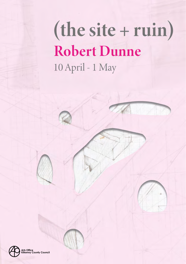## (the site + ruin) **Robert Dunne** 10 April - 1 May

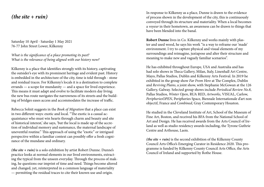## *(the site + ruin)*

Saturday 10 April - Saturday 1 May 2021 76-77 John Street Lower, Kilkenny

*What is the significance of a place promoting its past? What is the relevance of being aligned with our history now?*

Kilkenny is a place that identifies strongly with its history, captivating the outsider's eye with its prominent heritage and evident past. History is embedded in the architecture of the city, time is told through - stone and residual traces. For Kilkenny's locals it is a destination to complete errands — a scope for mundanity — and a space for lived experience. This means it must adapt and evolve to facilitate modern day living; the new bus route navigates the narrowness of its streets and the building of bridges eases access and accommodates the increase of traffic.

Rebecca Solnit suggests in the *Book of Migration* that a place can exist in two different ways: exotic and local. "The exotic is a casual acquaintance who must win hearts through charm and beauty and site of historical interest,' she says, 'but the local is made up of the accretion of individual memory and sustenance, the maternal landscape of uneventful routine." This approach of using the "exotic" or intrigued perspective within a familiar context can possibly offer a fresh cognizance of the mundane and ordinary.

*(the site + ruin)* is a solo exhibition by artist Robert Dunne. Dunne's practice looks at normal elements in our lived environments, extracting the typical from the unseen everyday. Through the process of making, he questions our imprint of time and need. Things become altered and changed, yet, reinterpreted in a common language of materiality — permitting the residual traces to cite their known use and origin.

In response to Kilkenny as a place, Dunne is drawn to the evidence of process shown in the development of the city, this is continuously conveyed through its structure and materiality. When a local becomes a *voyeur* in their hometown, an awareness can be drawn to things that have been blended into the banal.

**Robert Dunne** lives in Co. Kilkenny and works mainly with plaster and used wood, he says his work "is a way to reframe our 'made' environment. I try to capture physical and visual elements of my surroundings and reimagine, juxtapose and alter their structure and meaning to make new and vaguely familiar scenarios".

He has exhibited throughout Europe, USA and Australia and has had solo shows in Theca Gallery, Milan, Italy, Linenhall Art Centre, Mayo, Pallas Studios, Dublin and Kilkenny Arts Festival. In 2019 he exhibited in the group show *Far From Here* at The Complex, Dublin and *Reviving Plains*, a joint show, with Stephanie McGowan at the 126 Gallery, Galway. Selected group shows include *Periodical Review No.8*, Pallas Studios, *Winter Open*, RUA RED, *Artworks*, VISUAL, Carlow, *PeripheriesOPEN*, Peripheries Space, Biennale Internationale d'art non objectif, France and *Combined*, Gray Contemporary Houston.

He studied in the Cleveland Institute of Art, School of the Museum of Fine Art, Boston, and received his BFA from the National School of Art and Design. He has received awards from the Arts Council of Ireland as well as studio residency awards including, the Tyrone Guthrie Centre and Arthouse, Laois.

*(the site + ruin)* is the second exhibition of the Kilkenny County Council Arts Office's Emerging Curator in Residence 2020. This programme is funded by Kilkenny County Council Arts Office, the Arts Council of Ireland and supported by Rothe House.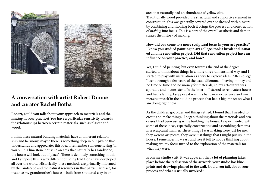

## **A conversation with artist Robert Dunne and curator Rachel Botha**

**Robert, could you talk about your approach to materials and the**  *making* **in your practice? You have a particular sensitivity towards the relationships between certain materials, such as plaster and wood.**

I think these natural building materials have an inherent relationship and harmony, maybe there is something deep in our psyche that understands and appreciates this idea. I remember someone saying "if you build a limestone house in an area that naturally has sandstone, the house will look out of place": There is definitely something in this and I suppose this is why different building traditions have developed all over the world. Historically, these methods are primarily informed by the landscape and the natural resources in that particular place, for instance my grandmother's house is built from shuttered clay in an

area that naturally had an abundance of yellow clay. Traditionally wood provided the structural and supportive element in construction, this was generally covered over or dressed with plaster; by combining and showing both it brings the process and construction of *making* into focus. This is a part of the overall aesthetic and demonstrates the history of making.

**How did you come to a more sculptural focus in your art practice? I know you studied painting in art college, took a break and initiated a home renovation project. Did that renovation project have an influence on your practice, and how?** 

Yes, I studied painting, but even towards the end of the degree I started to think about things in a more three-dimensional way, and I started to play with installation as a way to explore ideas. After college I went through a few years of the usual dilemma of having money and no time or time and no money for materials, so my art-output was sporadic and inconsistent. In the interim I started to renovate a house and had a family. I suppose it was this hands-on experience and immersing myself in the building process that had a big impact on what I am doing right now.

As the children got older and things settled, I found that I needed to create and make things, I began thinking about the materials and processes I had been using while building the house. I experimented with some of these ideas, especially constructing and assembling elements in a sculptural manner. These things I was making were just for me, they weren't art pieces, they were just things that I might put up in the house. I remember how easy and free it felt to not be thinking about making art, my focus turned to the exploration of the materials for what they were.

**From my studio visit, it was apparent that a lot of planning takes place before the realisation of the artwork, your studio has blueprints and drawings pinned to the wall. Could you talk about your process and what is usually involved?**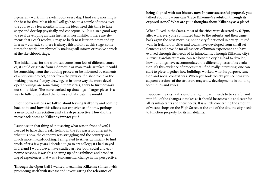I generally work in my sketchbook every day, I find early morning is the best for this. Most ideas I will go back to a couple of times over the course of a few months, I find the ideas need this time to take shape and develop physically and conceptually. It is also a good way to see if developing an idea further is worthwhile; if there are elements that I can't resolve, I may go back to it later or it may end up in a new context. So there is always this fluidity at this stage, sometimes the work I am physically making will inform or resolve a work at the sketchbook stage.

The initial ideas for the work can come from lots of different sources, it could originate from a domestic or man-made artefact, it could be something from the building process or be informed by elements of a previous project; either from the physical finished piece or the making process. I enjoy drawing, so in some way the more developed drawings are something in themselves, a way to further work out some ideas. The more worked-up drawings of larger pieces is a way to fully understand the forms and fabricate the mould.

I**n our conversations we talked about leaving Kilkenny and coming back to it, and how this affects our experience of home, perhaps a new-found appreciation and a fresh perspective. How did the move back home to Kilkenny impact you?**

I suppose it's that thing of 'not seeing what was in front of you', I needed to have that break. Ireland in the 80s was a lot different to what it is now, the economy was struggling and the country was much more inward-looking. I emigrated to America initially to find work, after a few years I decided to go to art college; if I had stayed in Ireland I would never have studied art, for both social and economic reasons, it was this opening up of possibilities and broadening of experiences that was a fundamental change in my perspective.

**Through the Open Call I wanted to examine Kilkenny's intent with promoting itself with its past and investigating the relevance of** 

**being aligned with our history now. In your successful proposal, you talked about how one can "trace Kilkenny's evolution through its exposed stone." What are your thoughts about Kilkenny as a place?** 

When I lived in the States, most of the cities were deserted by 6-7pm, after work everyone commuted back to the suburbs and then came back again the next morning, so the city functioned in a very limited way. In Ireland our cities and towns have developed from small settlements and provide for all aspects of human experience and have evolved through the needs of its inhabitants. Through Kilkenny city's surviving architecture one can see how the city has had to develop, how buildings have accommodated the different phases of its evolution. It's this evidence of process that I find really interesting, one can start to piece together how buildings worked, what its purpose, function and social context was. When you look closely you see how subsequent versions of the structure may show developments in building techniques and styles.

I suppose the city is at a juncture right now, it needs to be careful and mindful of the changes it makes as it should be accessible and cater for all its inhabitants and their needs. It is a little concerning the amount of vacant shops on the High Street, at the end of the day, the city needs to function properly for its inhabitants.